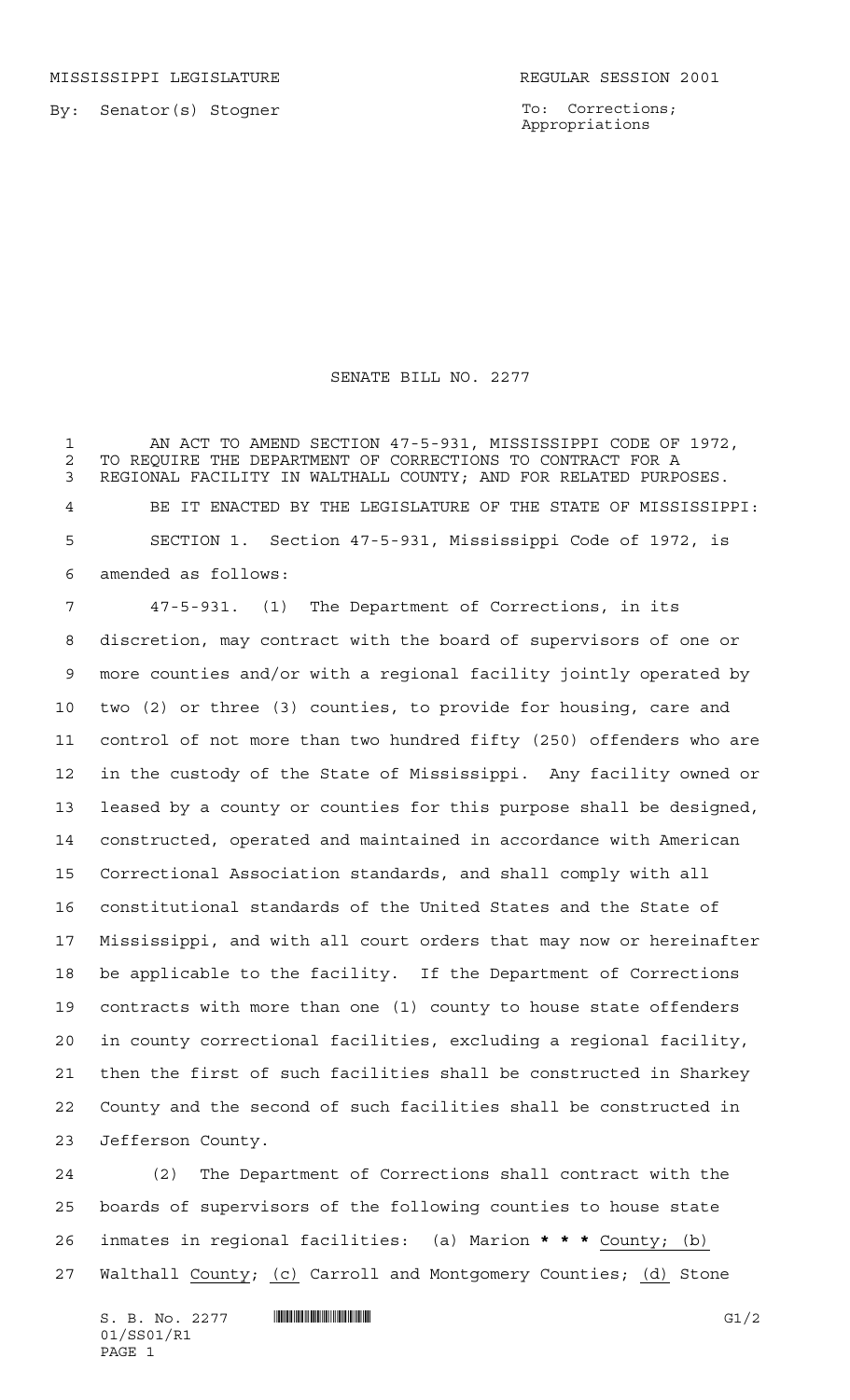To: Corrections; Appropriations

## SENATE BILL NO. 2277

 AN ACT TO AMEND SECTION 47-5-931, MISSISSIPPI CODE OF 1972, 2 TO REQUIRE THE DEPARTMENT OF CORRECTIONS TO CONTRACT FOR A<br>3 REGIONAL FACILITY IN WALTHALL COUNTY: AND FOR RELATED PURP REGIONAL FACILITY IN WALTHALL COUNTY; AND FOR RELATED PURPOSES. BE IT ENACTED BY THE LEGISLATURE OF THE STATE OF MISSISSIPPI: SECTION 1. Section 47-5-931, Mississippi Code of 1972, is amended as follows:

 47-5-931. (1) The Department of Corrections, in its discretion, may contract with the board of supervisors of one or more counties and/or with a regional facility jointly operated by two (2) or three (3) counties, to provide for housing, care and control of not more than two hundred fifty (250) offenders who are in the custody of the State of Mississippi. Any facility owned or leased by a county or counties for this purpose shall be designed, constructed, operated and maintained in accordance with American Correctional Association standards, and shall comply with all constitutional standards of the United States and the State of Mississippi, and with all court orders that may now or hereinafter be applicable to the facility. If the Department of Corrections contracts with more than one (1) county to house state offenders in county correctional facilities, excluding a regional facility, then the first of such facilities shall be constructed in Sharkey County and the second of such facilities shall be constructed in Jefferson County.

 (2) The Department of Corrections shall contract with the boards of supervisors of the following counties to house state inmates in regional facilities: (a) Marion **\*\*\*** County; (b) 27 Walthall County; (c) Carroll and Montgomery Counties; (d) Stone

 $S. B. No. 2277$   $\blacksquare$   $\blacksquare$   $\blacksquare$   $\blacksquare$   $\blacksquare$   $\blacksquare$   $\blacksquare$   $\blacksquare$   $\blacksquare$   $\blacksquare$   $\blacksquare$   $\blacksquare$   $\blacksquare$   $\blacksquare$   $\blacksquare$   $\blacksquare$   $\blacksquare$   $\blacksquare$   $\blacksquare$   $\blacksquare$   $\blacksquare$   $\blacksquare$   $\blacksquare$   $\blacksquare$   $\blacksquare$   $\blacksquare$   $\blacksquare$   $\blacksquare$   $\blacksquare$   $\blacks$ 01/SS01/R1 PAGE 1